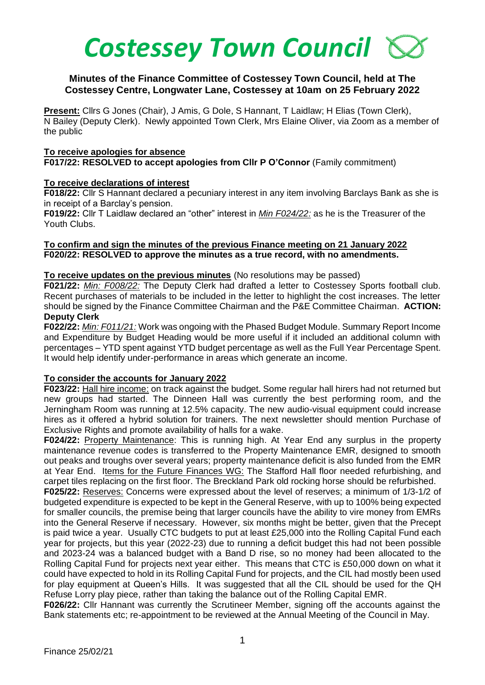# *Costessey Town Council*

# **Minutes of the Finance Committee of Costessey Town Council, held at The Costessey Centre, Longwater Lane, Costessey at 10am on 25 February 2022**

**Present:** Cllrs G Jones (Chair), J Amis, G Dole, S Hannant, T Laidlaw; H Elias (Town Clerk), N Bailey (Deputy Clerk). Newly appointed Town Clerk, Mrs Elaine Oliver, via Zoom as a member of the public

# **To receive apologies for absence**

**F017/22: RESOLVED to accept apologies from Cllr P O'Connor** (Family commitment)

# **To receive declarations of interest**

**F018/22:** Cllr S Hannant declared a pecuniary interest in any item involving Barclays Bank as she is in receipt of a Barclay's pension.

**F019/22:** Cllr T Laidlaw declared an "other" interest in *Min F024/22:* as he is the Treasurer of the Youth Clubs.

# **To confirm and sign the minutes of the previous Finance meeting on 21 January 2022 F020/22: RESOLVED to approve the minutes as a true record, with no amendments.**

#### **To receive updates on the previous minutes** (No resolutions may be passed)

**F021/22:** *Min: F008/22:* The Deputy Clerk had drafted a letter to Costessey Sports football club. Recent purchases of materials to be included in the letter to highlight the cost increases. The letter should be signed by the Finance Committee Chairman and the P&E Committee Chairman. **ACTION: Deputy Clerk**

#### **F022/22:** *Min: F011/21:* Work was ongoing with the Phased Budget Module. Summary Report Income and Expenditure by Budget Heading would be more useful if it included an additional column with percentages – YTD spent against YTD budget percentage as well as the Full Year Percentage Spent. It would help identify under-performance in areas which generate an income.

# **To consider the accounts for January 2022**

**F023/22:** Hall hire income: on track against the budget. Some regular hall hirers had not returned but new groups had started. The Dinneen Hall was currently the best performing room, and the Jerningham Room was running at 12.5% capacity. The new audio-visual equipment could increase hires as it offered a hybrid solution for trainers. The next newsletter should mention Purchase of Exclusive Rights and promote availability of halls for a wake.

**F024/22:** Property Maintenance: This is running high. At Year End any surplus in the property maintenance revenue codes is transferred to the Property Maintenance EMR, designed to smooth out peaks and troughs over several years; property maintenance deficit is also funded from the EMR at Year End. Items for the Future Finances WG: The Stafford Hall floor needed refurbishing, and carpet tiles replacing on the first floor. The Breckland Park old rocking horse should be refurbished.

**F025/22:** Reserves: Concerns were expressed about the level of reserves; a minimum of 1/3-1/2 of budgeted expenditure is expected to be kept in the General Reserve, with up to 100% being expected for smaller councils, the premise being that larger councils have the ability to vire money from EMRs into the General Reserve if necessary. However, six months might be better, given that the Precept is paid twice a year. Usually CTC budgets to put at least £25,000 into the Rolling Capital Fund each year for projects, but this year (2022-23) due to running a deficit budget this had not been possible and 2023-24 was a balanced budget with a Band D rise, so no money had been allocated to the Rolling Capital Fund for projects next year either. This means that CTC is £50,000 down on what it could have expected to hold in its Rolling Capital Fund for projects, and the CIL had mostly been used for play equipment at Queen's Hills. It was suggested that all the CIL should be used for the QH Refuse Lorry play piece, rather than taking the balance out of the Rolling Capital EMR.

**F026/22:** Cllr Hannant was currently the Scrutineer Member, signing off the accounts against the Bank statements etc; re-appointment to be reviewed at the Annual Meeting of the Council in May.